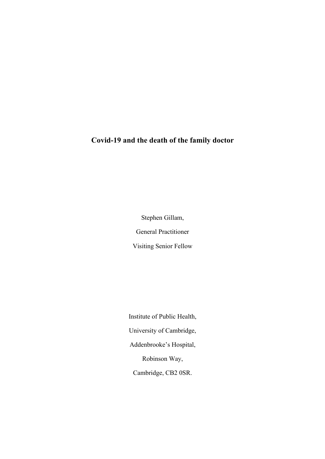# **Covid-19 and the death of the family doctor**

Stephen Gillam, General Practitioner Visiting Senior Fellow

Institute of Public Health, University of Cambridge, Addenbrooke's Hospital, Robinson Way, Cambridge, CB2 0SR.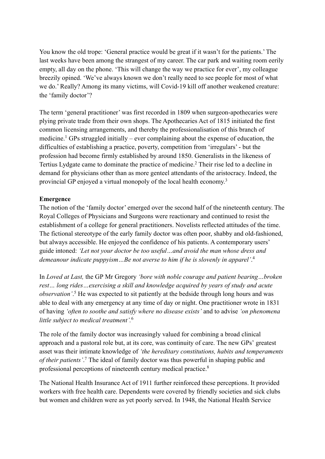You know the old trope: 'General practice would be great if it wasn't for the patients.' The last weeks have been among the strangest of my career. The car park and waiting room eerily empty, all day on the phone. 'This will change the way we practice for ever', my colleague breezily opined. 'We've always known we don't really need to see people for most of what we do.' Really? Among its many victims, will Covid-19 kill off another weakened creature: the 'family doctor'?

The term 'general practitioner' was first recorded in 1809 when surgeon-apothecaries were plying private trade from their own shops. The Apothecaries Act of 1815 initiated the first common licensing arrangements, and thereby the professionalisation of this branch of medicine.<sup>1</sup> GPs struggled initially – ever complaining about the expense of education, the difficulties of establishing a practice, poverty, competition from 'irregulars' - but the profession had become firmly established by around 1850. Generalists in the likeness of Tertius Lydgate came to dominate the practice of medicine. <sup>2</sup> Their rise led to a decline in demand for physicians other than as more genteel attendants of the aristocracy. Indeed, the provincial GP enjoyed a virtual monopoly of the local health economy.3

# **Emergence**

The notion of the 'family doctor' emerged over the second half of the nineteenth century. The Royal Colleges of Physicians and Surgeons were reactionary and continued to resist the establishment of a college for general practitioners. Novelists reflected attitudes of the time. The fictional stereotype of the early family doctor was often poor, shabby and old-fashioned, but always accessible. He enjoyed the confidence of his patients. A contemporary users' guide intoned: *'Let not your doctor be too useful…and avoid the man whose dress and demeanour indicate puppyism…Be not averse to him if he is slovenly in apparel'*. 4

In *Loved at Last,* the GP Mr Gregory *'bore with noble courage and patient bearing…broken rest… long rides…exercising a skill and knowledge acquired by years of study and acute observation'*. <sup>5</sup> He was expected to sit patiently at the bedside through long hours and was able to deal with any emergency at any time of day or night. One practitioner wrote in 1831 of having *'often to soothe and satisfy where no disease exists'* and to advise *'on phenomena little subject to medical treatment'.* 6

The role of the family doctor was increasingly valued for combining a broad clinical approach and a pastoral role but, at its core, was continuity of care. The new GPs' greatest asset was their intimate knowledge of *'the hereditary constitutions, habits and temperaments of their patients'*. <sup>7</sup> The ideal of family doctor was thus powerful in shaping public and professional perceptions of nineteenth century medical practice.8

The National Health Insurance Act of 1911 further reinforced these perceptions. It provided workers with free health care. Dependents were covered by friendly societies and sick clubs but women and children were as yet poorly served. In 1948, the National Health Service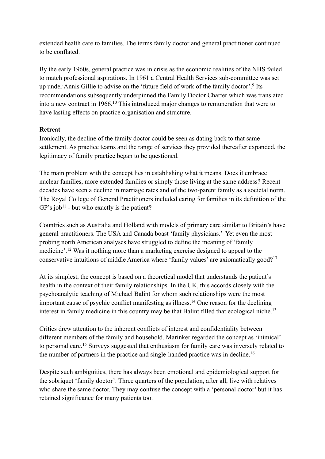extended health care to families. The terms family doctor and general practitioner continued to be conflated.

By the early 1960s, general practice was in crisis as the economic realities of the NHS failed to match professional aspirations. In 1961 a Central Health Services sub-committee was set up under Annis Gillie to advise on the 'future field of work of the family doctor'. <sup>9</sup> Its recommendations subsequently underpinned the Family Doctor Charter which was translated into a new contract in 1966.<sup>10</sup> This introduced major changes to remuneration that were to have lasting effects on practice organisation and structure.

# **Retreat**

Ironically, the decline of the family doctor could be seen as dating back to that same settlement. As practice teams and the range of services they provided thereafter expanded, the legitimacy of family practice began to be questioned.

The main problem with the concept lies in establishing what it means. Does it embrace nuclear families, more extended families or simply those living at the same address? Recent decades have seen a decline in marriage rates and of the two-parent family as a societal norm. The Royal College of General Practitioners included caring for families in its definition of the  $GP's job<sup>11</sup>$  - but who exactly is the patient?

Countries such as Australia and Holland with models of primary care similar to Britain's have general practitioners. The USA and Canada boast 'family physicians.' Yet even the most probing north American analyses have struggled to define the meaning of 'family medicine'.<sup>12</sup> Was it nothing more than a marketing exercise designed to appeal to the conservative intuitions of middle America where 'family values' are axiomatically good?13

At its simplest, the concept is based on a theoretical model that understands the patient's health in the context of their family relationships. In the UK, this accords closely with the psychoanalytic teaching of Michael Balint for whom such relationships were the most important cause of psychic conflict manifesting as illness.<sup>14</sup> One reason for the declining interest in family medicine in this country may be that Balint filled that ecological niche.<sup>13</sup>

Critics drew attention to the inherent conflicts of interest and confidentiality between different members of the family and household. Marinker regarded the concept as 'inimical' to personal care.15 Surveys suggested that enthusiasm for family care was inversely related to the number of partners in the practice and single-handed practice was in decline.<sup>16</sup>

Despite such ambiguities, there has always been emotional and epidemiological support for the sobriquet 'family doctor'. Three quarters of the population, after all, live with relatives who share the same doctor. They may confuse the concept with a 'personal doctor' but it has retained significance for many patients too.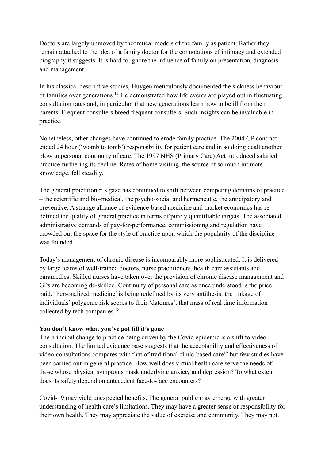Doctors are largely unmoved by theoretical models of the family as patient. Rather they remain attached to the idea of a family doctor for the connotations of intimacy and extended biography it suggests. It is hard to ignore the influence of family on presentation, diagnosis and management.

In his classical descriptive studies, Huygen meticulously documented the sickness behaviour of families over generations.<sup>17</sup> He demonstrated how life events are played out in fluctuating consultation rates and, in particular, that new generations learn how to be ill from their parents. Frequent consulters breed frequent consulters. Such insights can be invaluable in practice.

Nonetheless, other changes have continued to erode family practice. The 2004 GP contract ended 24 hour ('womb to tomb') responsibility for patient care and in so doing dealt another blow to personal continuity of care. The 1997 NHS (Primary Care) Act introduced salaried practice furthering its decline. Rates of home visiting, the source of so much intimate knowledge, fell steadily.

The general practitioner's gaze has continued to shift between competing domains of practice – the scientific and bio-medical, the psycho-social and hermeneutic, the anticipatory and preventive. A strange alliance of evidence-based medicine and market economics has redefined the quality of general practice in terms of purely quantifiable targets. The associated administrative demands of pay-for-performance, commissioning and regulation have crowded out the space for the style of practice upon which the popularity of the discipline was founded.

Today's management of chronic disease is incomparably more sophisticated. It is delivered by large teams of well-trained doctors, nurse practitioners, health care assistants and paramedics. Skilled nurses have taken over the provision of chronic disease management and GPs are becoming de-skilled. Continuity of personal care as once understood is the price paid. 'Personalized medicine' is being redefined by its very antithesis: the linkage of individuals' polygenic risk scores to their 'datomes', that mass of real time information collected by tech companies. 18

# **You don't know what you've got till it's gone**

The principal change to practice being driven by the Covid epidemic is a shift to video consultation. The limited evidence base suggests that the acceptability and effectiveness of video-consultations compares with that of traditional clinic-based care<sup>19</sup> but few studies have been carried out in general practice. How well does virtual health care serve the needs of those whose physical symptoms mask underlying anxiety and depression? To what extent does its safety depend on antecedent face-to-face encounters?

Covid-19 may yield unexpected benefits. The general public may emerge with greater understanding of health care's limitations. They may have a greater sense of responsibility for their own health. They may appreciate the value of exercise and community. They may not.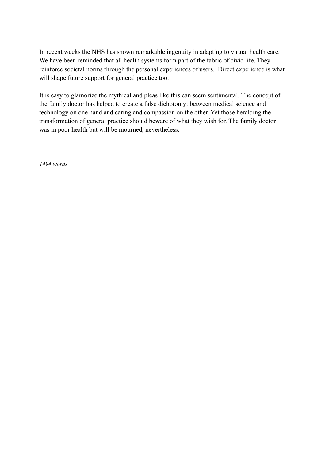In recent weeks the NHS has shown remarkable ingenuity in adapting to virtual health care. We have been reminded that all health systems form part of the fabric of civic life. They reinforce societal norms through the personal experiences of users. Direct experience is what will shape future support for general practice too.

It is easy to glamorize the mythical and pleas like this can seem sentimental. The concept of the family doctor has helped to create a false dichotomy: between medical science and technology on one hand and caring and compassion on the other. Yet those heralding the transformation of general practice should beware of what they wish for. The family doctor was in poor health but will be mourned, nevertheless.

*1494 words*